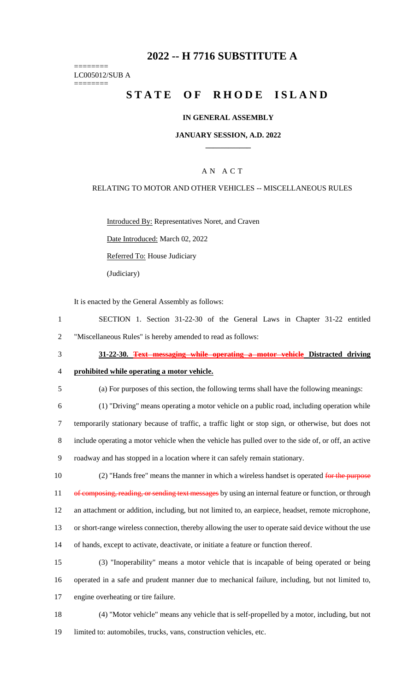# **2022 -- H 7716 SUBSTITUTE A**

======== LC005012/SUB A

========

# **STATE OF RHODE ISLAND**

#### **IN GENERAL ASSEMBLY**

#### **JANUARY SESSION, A.D. 2022 \_\_\_\_\_\_\_\_\_\_\_\_**

### A N A C T

#### RELATING TO MOTOR AND OTHER VEHICLES -- MISCELLANEOUS RULES

Introduced By: Representatives Noret, and Craven

Date Introduced: March 02, 2022

Referred To: House Judiciary

(Judiciary)

It is enacted by the General Assembly as follows:

- 1 SECTION 1. Section 31-22-30 of the General Laws in Chapter 31-22 entitled 2 "Miscellaneous Rules" is hereby amended to read as follows:
- 3 **31-22-30. Text messaging while operating a motor vehicle Distracted driving**

4 **prohibited while operating a motor vehicle.**

- 5 (a) For purposes of this section, the following terms shall have the following meanings:
- 6 (1) "Driving" means operating a motor vehicle on a public road, including operation while 7 temporarily stationary because of traffic, a traffic light or stop sign, or otherwise, but does not 8 include operating a motor vehicle when the vehicle has pulled over to the side of, or off, an active 9 roadway and has stopped in a location where it can safely remain stationary.
- 10 (2) "Hands free" means the manner in which a wireless handset is operated for the purpose 11 of composing, reading, or sending text messages by using an internal feature or function, or through 12 an attachment or addition, including, but not limited to, an earpiece, headset, remote microphone, 13 or short-range wireless connection, thereby allowing the user to operate said device without the use 14 of hands, except to activate, deactivate, or initiate a feature or function thereof.
- 15 (3) "Inoperability" means a motor vehicle that is incapable of being operated or being 16 operated in a safe and prudent manner due to mechanical failure, including, but not limited to, 17 engine overheating or tire failure.
- 18 (4) "Motor vehicle" means any vehicle that is self-propelled by a motor, including, but not 19 limited to: automobiles, trucks, vans, construction vehicles, etc.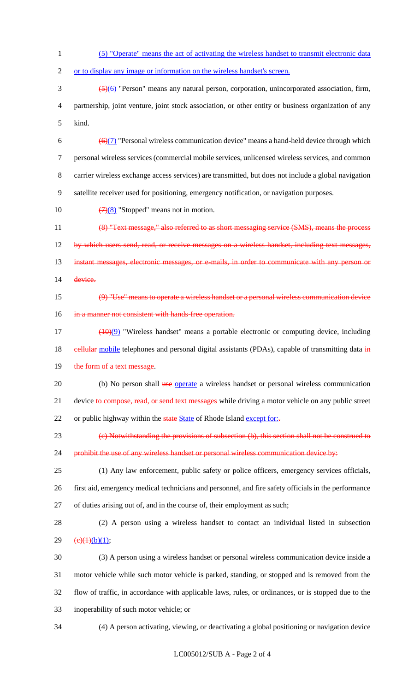- 1 (5) "Operate" means the act of activating the wireless handset to transmit electronic data
- 2 or to display any image or information on the wireless handset's screen.

3 (5)(6) "Person" means any natural person, corporation, unincorporated association, firm, 4 partnership, joint venture, joint stock association, or other entity or business organization of any 5 kind.

 $\left(\frac{\Theta(7)}{1}\right)$  "Personal wireless communication device" means a hand-held device through which personal wireless services (commercial mobile services, unlicensed wireless services, and common carrier wireless exchange access services) are transmitted, but does not include a global navigation satellite receiver used for positioning, emergency notification, or navigation purposes.

10  $\left(\frac{7}{8}\right)$  "Stopped" means not in motion.

11 (8) "Text message," also referred to as short messaging service (SMS), means the process 12 by which users send, read, or receive messages on a wireless handset, including text messages, 13 instant messages, electronic messages, or e-mails, in order to communicate with any person or 14 device.

15 (9) "Use" means to operate a wireless handset or a personal wireless communication device 16 in a manner not consistent with hands-free operation.

- 17 (10)(9) "Wireless handset" means a portable electronic or computing device, including 18 eellular mobile telephones and personal digital assistants (PDAs), capable of transmitting data in 19 the form of a text message.
- 20 (b) No person shall use operate a wireless handset or personal wireless communication 21 device to compose, read, or send text messages while driving a motor vehicle on any public street 22 or public highway within the state State of Rhode Island except for:-
- 23 (c) Notwithstanding the provisions of subsection (b), this section shall not be construed to
- 24 prohibit the use of any wireless handset or personal wireless communication device by:
- 25 (1) Any law enforcement, public safety or police officers, emergency services officials, 26 first aid, emergency medical technicians and personnel, and fire safety officials in the performance 27 of duties arising out of, and in the course of, their employment as such;
- 28 (2) A person using a wireless handset to contact an individual listed in subsection 29  $(e)(1)(b)(1);$
- 30 (3) A person using a wireless handset or personal wireless communication device inside a 31 motor vehicle while such motor vehicle is parked, standing, or stopped and is removed from the 32 flow of traffic, in accordance with applicable laws, rules, or ordinances, or is stopped due to the 33 inoperability of such motor vehicle; or
-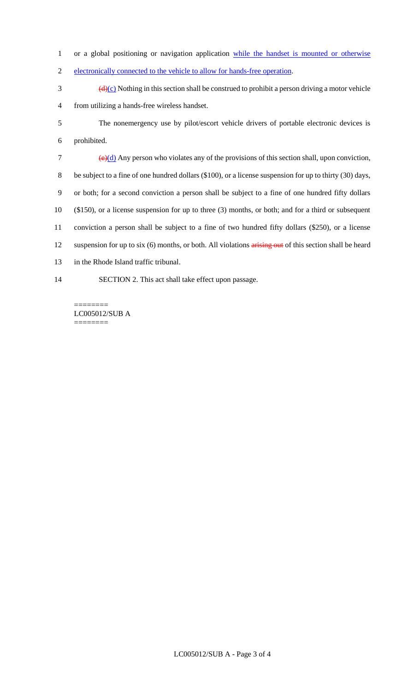1 or a global positioning or navigation application while the handset is mounted or otherwise

- 2 electronically connected to the vehicle to allow for hands-free operation.
- $\frac{d(x)}{dx}$  Nothing in this section shall be construed to prohibit a person driving a motor vehicle 4 from utilizing a hands-free wireless handset.
- 5 The nonemergency use by pilot/escort vehicle drivers of portable electronic devices is 6 prohibited.

 $\left(\frac{e}{d}\right)$  Any person who violates any of the provisions of this section shall, upon conviction, 8 be subject to a fine of one hundred dollars (\$100), or a license suspension for up to thirty (30) days, or both; for a second conviction a person shall be subject to a fine of one hundred fifty dollars (\$150), or a license suspension for up to three (3) months, or both; and for a third or subsequent conviction a person shall be subject to a fine of two hundred fifty dollars (\$250), or a license 12 suspension for up to six (6) months, or both. All violations arising out of this section shall be heard in the Rhode Island traffic tribunal. SECTION 2. This act shall take effect upon passage.

LC005012/SUB A ========

========